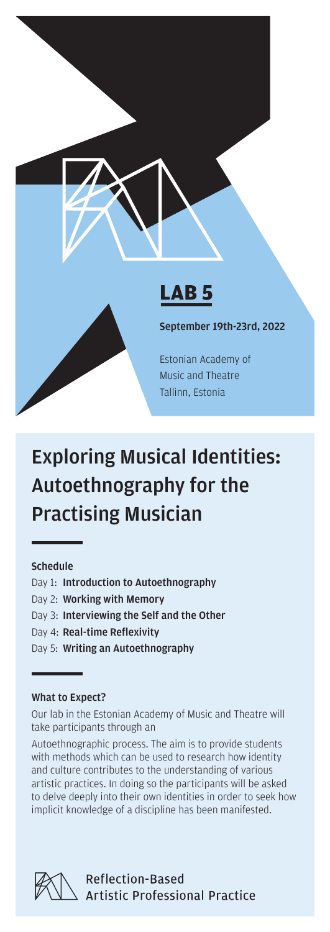

# Schedule

Day 1: Introduction to Autoethnography

Practising Musician

- Day 2: Working with Memory
- Day 3: Interviewing the Self and the Other
- Day 4: Real-time Reflexivity
- Day 5: Writing an Autoethnography

# What to Expect?

Our lab in the Estonian Academy of Music and Theatre will take participants through an

Exploring Musical Identities:

Autoethnography for the

Autoethnographic process. The aim is to provide students with methods which can be used to research how identity and culture contributes to the understanding of various artistic practices. In doing so the participants will be asked to delve deeply into their own identities in order to seek how implicit knowledge of a discipline has been manifested.